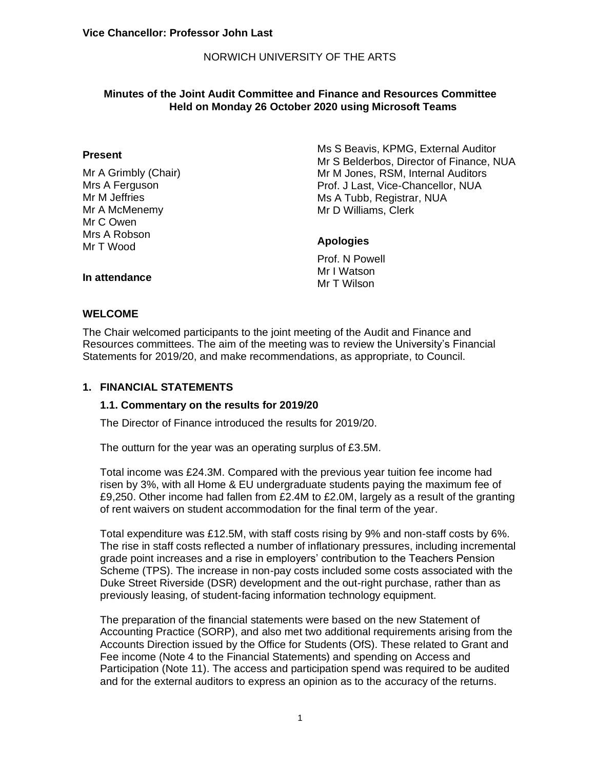# NORWICH UNIVERSITY OF THE ARTS

## **Minutes of the Joint Audit Committee and Finance and Resources Committee Held on Monday 26 October 2020 using Microsoft Teams**

#### **Present**

Mr A Grimbly (Chair) Mrs A Ferguson Mr M Jeffries Mr A McMenemy Mr C Owen Mrs A Robson Mr T Wood

Ms S Beavis, KPMG, External Auditor Mr S Belderbos, Director of Finance, NUA Mr M Jones, RSM, Internal Auditors Prof. J Last, Vice-Chancellor, NUA Ms A Tubb, Registrar, NUA Mr D Williams, Clerk

## **Apologies**

Prof. N Powell Mr I Watson Mr T Wilson

#### **In attendance**

#### **WELCOME**

The Chair welcomed participants to the joint meeting of the Audit and Finance and Resources committees. The aim of the meeting was to review the University's Financial Statements for 2019/20, and make recommendations, as appropriate, to Council.

#### **1. FINANCIAL STATEMENTS**

## **1.1. Commentary on the results for 2019/20**

The Director of Finance introduced the results for 2019/20.

The outturn for the year was an operating surplus of £3.5M.

Total income was £24.3M. Compared with the previous year tuition fee income had risen by 3%, with all Home & EU undergraduate students paying the maximum fee of £9,250. Other income had fallen from £2.4M to £2.0M, largely as a result of the granting of rent waivers on student accommodation for the final term of the year.

Total expenditure was £12.5M, with staff costs rising by 9% and non-staff costs by 6%. The rise in staff costs reflected a number of inflationary pressures, including incremental grade point increases and a rise in employers' contribution to the Teachers Pension Scheme (TPS). The increase in non-pay costs included some costs associated with the Duke Street Riverside (DSR) development and the out-right purchase, rather than as previously leasing, of student-facing information technology equipment.

The preparation of the financial statements were based on the new Statement of Accounting Practice (SORP), and also met two additional requirements arising from the Accounts Direction issued by the Office for Students (OfS). These related to Grant and Fee income (Note 4 to the Financial Statements) and spending on Access and Participation (Note 11). The access and participation spend was required to be audited and for the external auditors to express an opinion as to the accuracy of the returns.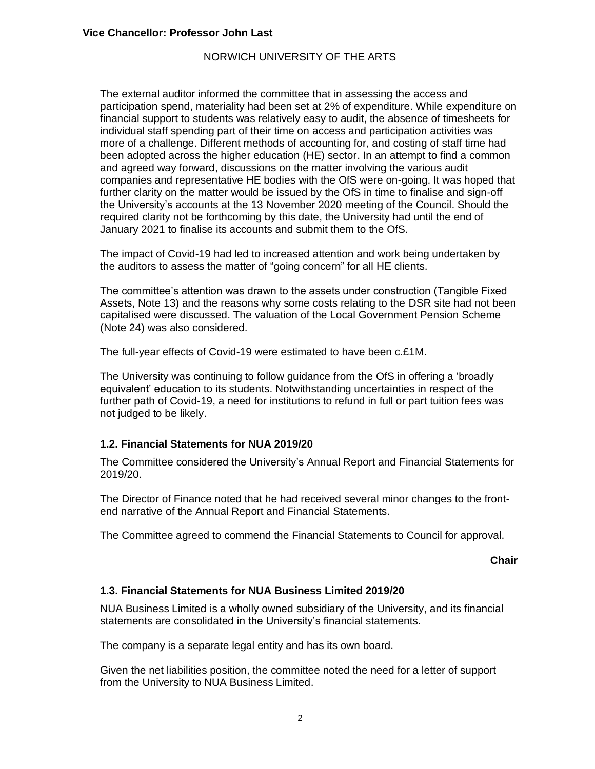## NORWICH UNIVERSITY OF THE ARTS

The external auditor informed the committee that in assessing the access and participation spend, materiality had been set at 2% of expenditure. While expenditure on financial support to students was relatively easy to audit, the absence of timesheets for individual staff spending part of their time on access and participation activities was more of a challenge. Different methods of accounting for, and costing of staff time had been adopted across the higher education (HE) sector. In an attempt to find a common and agreed way forward, discussions on the matter involving the various audit companies and representative HE bodies with the OfS were on-going. It was hoped that further clarity on the matter would be issued by the OfS in time to finalise and sign-off the University's accounts at the 13 November 2020 meeting of the Council. Should the required clarity not be forthcoming by this date, the University had until the end of January 2021 to finalise its accounts and submit them to the OfS.

The impact of Covid-19 had led to increased attention and work being undertaken by the auditors to assess the matter of "going concern" for all HE clients.

The committee's attention was drawn to the assets under construction (Tangible Fixed Assets, Note 13) and the reasons why some costs relating to the DSR site had not been capitalised were discussed. The valuation of the Local Government Pension Scheme (Note 24) was also considered.

The full-year effects of Covid-19 were estimated to have been c.£1M.

The University was continuing to follow guidance from the OfS in offering a 'broadly equivalent' education to its students. Notwithstanding uncertainties in respect of the further path of Covid-19, a need for institutions to refund in full or part tuition fees was not judged to be likely.

## **1.2. Financial Statements for NUA 2019/20**

The Committee considered the University's Annual Report and Financial Statements for 2019/20.

The Director of Finance noted that he had received several minor changes to the frontend narrative of the Annual Report and Financial Statements.

The Committee agreed to commend the Financial Statements to Council for approval.

**Chair**

## **1.3. Financial Statements for NUA Business Limited 2019/20**

NUA Business Limited is a wholly owned subsidiary of the University, and its financial statements are consolidated in the University's financial statements.

The company is a separate legal entity and has its own board.

Given the net liabilities position, the committee noted the need for a letter of support from the University to NUA Business Limited.